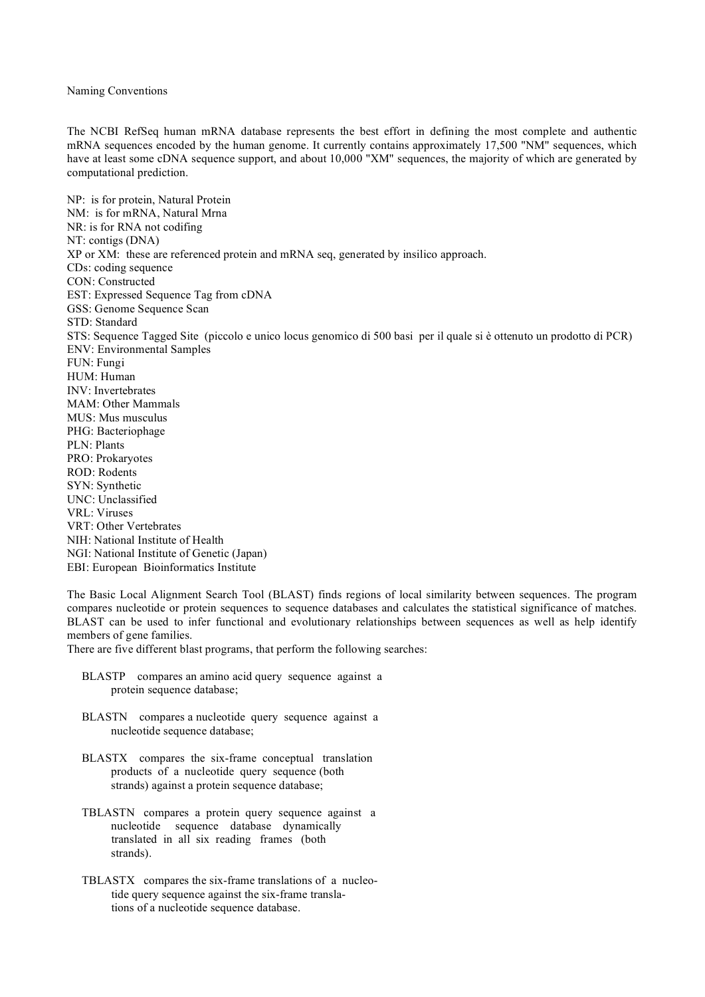## Naming Conventions

The NCBI RefSeq human mRNA database represents the best effort in defining the most complete and authentic mRNA sequences encoded by the human genome. It currently contains approximately 17,500 "NM" sequences, which have at least some cDNA sequence support, and about 10,000 "XM" sequences, the majority of which are generated by computational prediction.

NP: is for protein, Natural Protein NM: is for mRNA, Natural Mrna NR: is for RNA not codifing NT: contigs (DNA) XP or XM: these are referenced protein and mRNA seq, generated by insilico approach. CDs: coding sequence CON: Constructed EST: Expressed Sequence Tag from cDNA GSS: Genome Sequence Scan STD: Standard STS: Sequence Tagged Site (piccolo e unico locus genomico di 500 basi per il quale si è ottenuto un prodotto di PCR) ENV: Environmental Samples FUN: Fungi HUM: Human INV: Invertebrates MAM: Other Mammals MUS: Mus musculus PHG: Bacteriophage PLN: Plants PRO: Prokaryotes ROD: Rodents SYN: Synthetic UNC: Unclassified VRL: Viruses VRT: Other Vertebrates NIH: National Institute of Health NGI: National Institute of Genetic (Japan) EBI: European Bioinformatics Institute

The Basic Local Alignment Search Tool (BLAST) finds regions of local similarity between sequences. The program compares nucleotide or protein sequences to sequence databases and calculates the statistical significance of matches. BLAST can be used to infer functional and evolutionary relationships between sequences as well as help identify members of gene families.

There are five different blast programs, that perform the following searches:

- BLASTP compares an amino acid query sequence against a protein sequence database;
- BLASTN compares a nucleotide query sequence against a nucleotide sequence database;
- BLASTX compares the six-frame conceptual translation products of a nucleotide query sequence (both strands) against a protein sequence database;
- TBLASTN compares a protein query sequence against a nucleotide sequence database dynamically translated in all six reading frames (both strands).
- TBLASTX compares the six-frame translations of a nucleotide query sequence against the six-frame translations of a nucleotide sequence database.